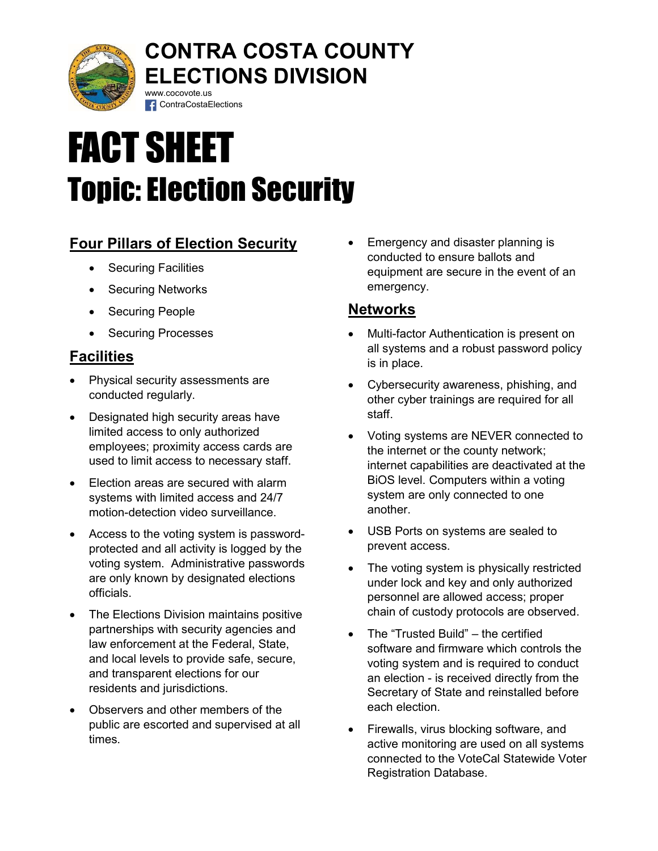

## CONTRA COSTA COUNTY ELECTIONS DIVISION www.cocovote.us

# FACT SHEET Topic: Election Security

**f** ContraCostaElections

## Four Pillars of Election Security

- Securing Facilities
- Securing Networks
- Securing People
- Securing Processes

## **Facilities**

- Physical security assessments are conducted regularly.
- Designated high security areas have limited access to only authorized employees; proximity access cards are used to limit access to necessary staff.
- Election areas are secured with alarm systems with limited access and 24/7 motion-detection video surveillance.
- Access to the voting system is passwordprotected and all activity is logged by the voting system. Administrative passwords are only known by designated elections officials.
- The Elections Division maintains positive partnerships with security agencies and law enforcement at the Federal, State, and local levels to provide safe, secure, and transparent elections for our residents and jurisdictions.
- Observers and other members of the public are escorted and supervised at all times.

 Emergency and disaster planning is conducted to ensure ballots and equipment are secure in the event of an emergency.

### **Networks**

- Multi-factor Authentication is present on all systems and a robust password policy is in place.
- Cybersecurity awareness, phishing, and other cyber trainings are required for all staff.
- Voting systems are NEVER connected to the internet or the county network; internet capabilities are deactivated at the BiOS level. Computers within a voting system are only connected to one another.
- USB Ports on systems are sealed to prevent access.
- The voting system is physically restricted under lock and key and only authorized personnel are allowed access; proper chain of custody protocols are observed.
- The "Trusted Build" the certified software and firmware which controls the voting system and is required to conduct an election - is received directly from the Secretary of State and reinstalled before each election.
- Firewalls, virus blocking software, and active monitoring are used on all systems connected to the VoteCal Statewide Voter Registration Database.